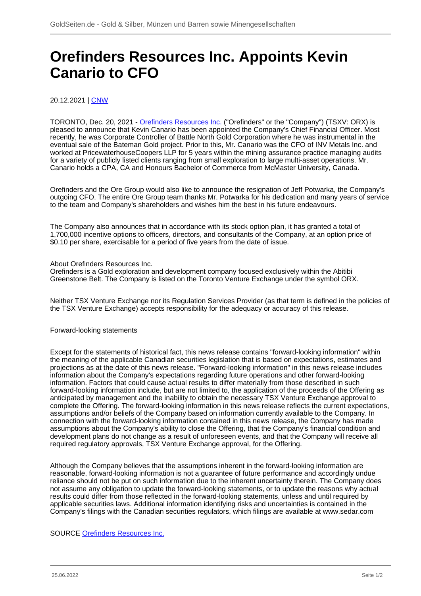## **Orefinders Resources Inc. Appoints Kevin Canario to CFO**

20.12.2021 | [CNW](/profil/224--CNW)

TORONTO, Dec. 20, 2021 - [Orefinders Resources Inc.](/minen/2234--Orefinders-Resources-Inc) ("Orefinders" or the "Company") (TSXV: ORX) is pleased to announce that Kevin Canario has been appointed the Company's Chief Financial Officer. Most recently, he was Corporate Controller of Battle North Gold Corporation where he was instrumental in the eventual sale of the Bateman Gold project. Prior to this, Mr. Canario was the CFO of INV Metals Inc. and worked at PricewaterhouseCoopers LLP for 5 years within the mining assurance practice managing audits for a variety of publicly listed clients ranging from small exploration to large multi-asset operations. Mr. Canario holds a CPA, CA and Honours Bachelor of Commerce from McMaster University, Canada.

Orefinders and the Ore Group would also like to announce the resignation of Jeff Potwarka, the Company's outgoing CFO. The entire Ore Group team thanks Mr. Potwarka for his dedication and many years of service to the team and Company's shareholders and wishes him the best in his future endeavours.

The Company also announces that in accordance with its stock option plan, it has granted a total of 1,700,000 incentive options to officers, directors, and consultants of the Company, at an option price of \$0.10 per share, exercisable for a period of five years from the date of issue.

About Orefinders Resources Inc.

Orefinders is a Gold exploration and development company focused exclusively within the Abitibi Greenstone Belt. The Company is listed on the Toronto Venture Exchange under the symbol ORX.

Neither TSX Venture Exchange nor its Regulation Services Provider (as that term is defined in the policies of the TSX Venture Exchange) accepts responsibility for the adequacy or accuracy of this release.

## Forward-looking statements

Except for the statements of historical fact, this news release contains "forward-looking information" within the meaning of the applicable Canadian securities legislation that is based on expectations, estimates and projections as at the date of this news release. "Forward-looking information" in this news release includes information about the Company's expectations regarding future operations and other forward-looking information. Factors that could cause actual results to differ materially from those described in such forward-looking information include, but are not limited to, the application of the proceeds of the Offering as anticipated by management and the inability to obtain the necessary TSX Venture Exchange approval to complete the Offering. The forward-looking information in this news release reflects the current expectations, assumptions and/or beliefs of the Company based on information currently available to the Company. In connection with the forward-looking information contained in this news release, the Company has made assumptions about the Company's ability to close the Offering, that the Company's financial condition and development plans do not change as a result of unforeseen events, and that the Company will receive all required regulatory approvals, TSX Venture Exchange approval, for the Offering.

Although the Company believes that the assumptions inherent in the forward-looking information are reasonable, forward-looking information is not a guarantee of future performance and accordingly undue reliance should not be put on such information due to the inherent uncertainty therein. The Company does not assume any obligation to update the forward-looking statements, or to update the reasons why actual results could differ from those reflected in the forward-looking statements, unless and until required by applicable securities laws. Additional information identifying risks and uncertainties is contained in the Company's filings with the Canadian securities regulators, which filings are available at www.sedar.com

## SOURCE [Orefinders Resources Inc.](/minen/2234--Orefinders-Resources-Inc)